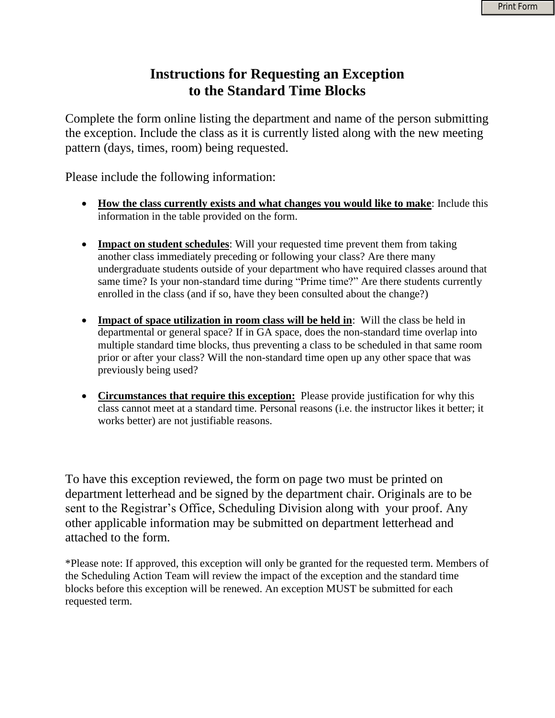## **Instructions for Requesting an Exception to the Standard Time Blocks**

Complete the form online listing the department and name of the person submitting the exception. Include the class as it is currently listed along with the new meeting pattern (days, times, room) being requested.

Please include the following information:

- **How the class currently exists and what changes you would like to make**: Include this information in the table provided on the form.
- **Impact on student schedules**: Will your requested time prevent them from taking another class immediately preceding or following your class? Are there many undergraduate students outside of your department who have required classes around that same time? Is your non-standard time during "Prime time?" Are there students currently enrolled in the class (and if so, have they been consulted about the change?)
- **Impact of space utilization in room class will be held in**: Will the class be held in departmental or general space? If in GA space, does the non-standard time overlap into multiple standard time blocks, thus preventing a class to be scheduled in that same room prior or after your class? Will the non-standard time open up any other space that was previously being used?
- **Circumstances that require this exception:** Please provide justification for why this class cannot meet at a standard time. Personal reasons (i.e. the instructor likes it better; it works better) are not justifiable reasons.

To have this exception reviewed, the form on page two must be printed on department letterhead and be signed by the department chair. Originals are to be sent to the Registrar's Office, Scheduling Division along with your proof. Any other applicable information may be submitted on department letterhead and attached to the form.

\*Please note: If approved, this exception will only be granted for the requested term. Members of the Scheduling Action Team will review the impact of the exception and the standard time blocks before this exception will be renewed. An exception MUST be submitted for each requested term.